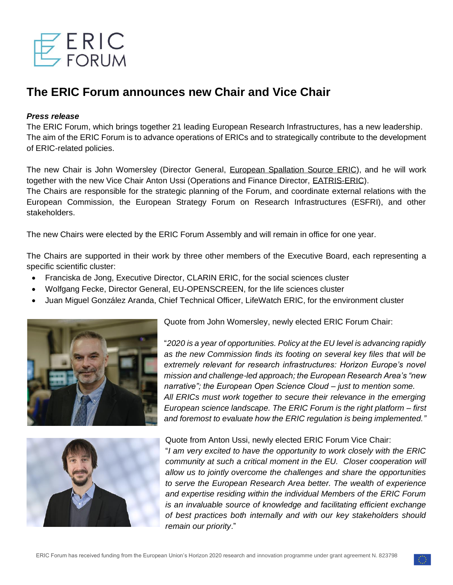

# **The ERIC Forum announces new Chair and Vice Chair**

# *Press release*

The ERIC Forum, which brings together 21 leading European Research Infrastructures, has a new leadership. The aim of the ERIC Forum is to advance operations of ERICs and to strategically contribute to the development of ERIC-related policies.

The new Chair is John Womersley (Director General, [European Spallation Source](https://europeanspallationsource.se/) ERIC), and he will work together with the new Vice Chair Anton Ussi (Operations and Finance Director, [EATRIS-ERIC\)](https://eatris.eu/). The Chairs are responsible for the strategic planning of the Forum, and coordinate external relations with the European Commission, the European Strategy Forum on Research Infrastructures (ESFRI), and other stakeholders.

The new Chairs were elected by the ERIC Forum Assembly and will remain in office for one year.

The Chairs are supported in their work by three other members of the Executive Board, each representing a specific scientific cluster:

- Franciska de Jong, Executive Director, CLARIN ERIC, for the social sciences cluster
- Wolfgang Fecke, Director General, EU-OPENSCREEN, for the life sciences cluster
- Juan Miguel González Aranda, Chief Technical Officer, LifeWatch ERIC, for the environment cluster





Quote from John Womersley, newly elected ERIC Forum Chair:

"*2020 is a year of opportunities. Policy at the EU level is advancing rapidly as the new Commission finds its footing on several key files that will be extremely relevant for research infrastructures: Horizon Europe's novel mission and challenge-led approach; the European Research Area's "new narrative"; the European Open Science Cloud – just to mention some. All ERICs must work together to secure their relevance in the emerging European science landscape. The ERIC Forum is the right platform – first and foremost to evaluate how the ERIC regulation is being implemented."*

Quote from Anton Ussi, newly elected ERIC Forum Vice Chair:

"*I am very excited to have the opportunity to work closely with the ERIC community at such a critical moment in the EU. Closer cooperation will allow us to jointly overcome the challenges and share the opportunities to serve the European Research Area better. The wealth of experience and expertise residing within the individual Members of the ERIC Forum is an invaluable source of knowledge and facilitating efficient exchange of best practices both internally and with our key stakeholders should remain our priority*."